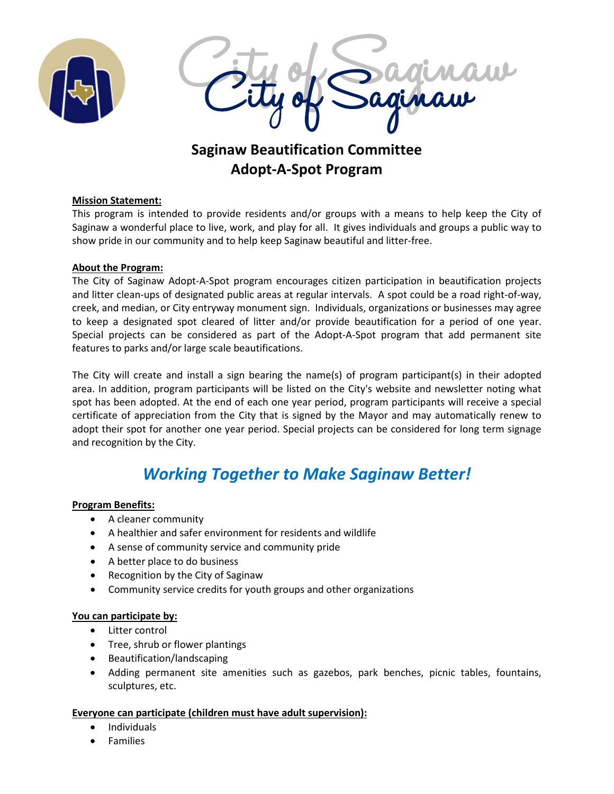



## **Saginaw Beautification Committee Adopt-A-Spot Program**

#### **Mission Statement:**

This program is intended to provide residents and/or groups with a means to help keep the City of Saginaw a wonderful place to live, work, and play for all. It gives individuals and groups a public way to show pride in our community and to help keep Saginaw beautiful and litter-free.

#### **About the Program:**

The City of Saginaw Adopt-A-Spot program encourages citizen participation in beautification projects and litter clean-ups of designated public areas at regular intervals. A spot could be a road right-of-way, creek, and median, or City entryway monument sign. Individuals, organizations or businesses may agree to keep a designated spot cleared of litter and/or provide beautification for a period of one year. Special projects can be considered as part of the Adopt-A-Spot program that add permanent site features to parks and/or large scale beautifications.

The City will create and install a sign bearing the name(s) of program participant(s) in their adopted area. In addition, program participants will be listed on the City's website and newsletter noting what spot has been adopted. At the end of each one year period, program participants will receive a special certificate of appreciation from the City that is signed by the Mayor and may automatically renew to adopt their spot for another one year period. Special projects can be considered for long term signage and recognition by the City.

## *Working Together to Make Saginaw Better!*

#### **Program Benefits:**

- A cleaner community
- A healthier and safer environment for residents and wildlife
- A sense of community service and community pride
- A better place to do business
- Recognition by the City of Saginaw
- Community service credits for youth groups and other organizations

#### **You can participate by:**

- Litter control
- Tree, shrub or flower plantings
- Beautification/landscaping
- Adding permanent site amenities such as gazebos, park benches, picnic tables, fountains, sculptures, etc.

#### **Everyone can participate (children must have adult supervision):**

- Individuals
- **Families**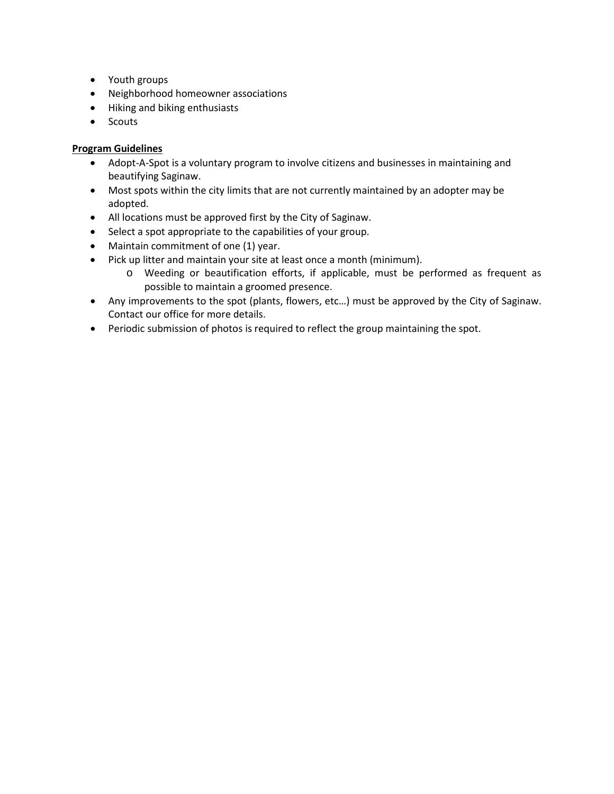- Youth groups
- Neighborhood homeowner associations
- Hiking and biking enthusiasts
- Scouts

#### **Program Guidelines**

- Adopt-A-Spot is a voluntary program to involve citizens and businesses in maintaining and beautifying Saginaw.
- Most spots within the city limits that are not currently maintained by an adopter may be adopted.
- All locations must be approved first by the City of Saginaw.
- Select a spot appropriate to the capabilities of your group.
- Maintain commitment of one (1) year.
- Pick up litter and maintain your site at least once a month (minimum).
	- o Weeding or beautification efforts, if applicable, must be performed as frequent as possible to maintain a groomed presence.
- Any improvements to the spot (plants, flowers, etc…) must be approved by the City of Saginaw. Contact our office for more details.
- Periodic submission of photos is required to reflect the group maintaining the spot.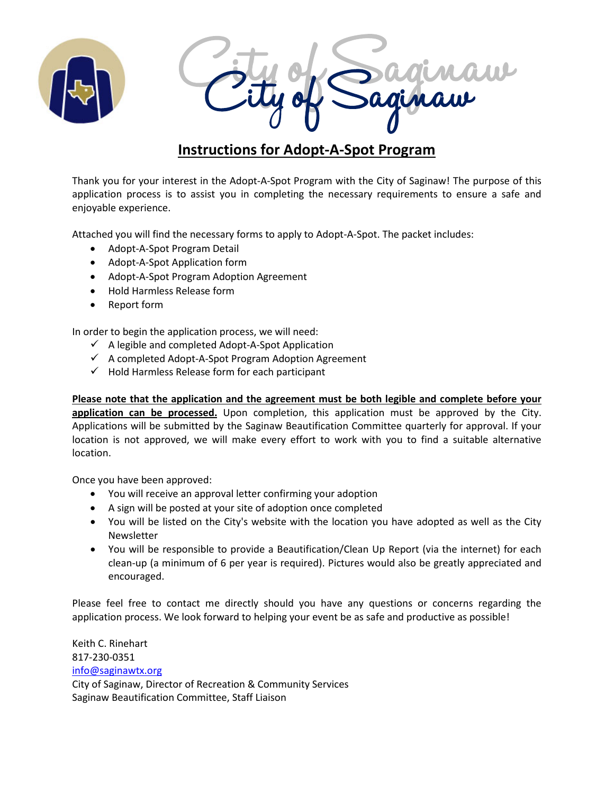



## **Instructions for Adopt-A-Spot Program**

Thank you for your interest in the Adopt-A-Spot Program with the City of Saginaw! The purpose of this application process is to assist you in completing the necessary requirements to ensure a safe and enjoyable experience.

Attached you will find the necessary forms to apply to Adopt-A-Spot. The packet includes:

- Adopt-A-Spot Program Detail
- Adopt-A-Spot Application form
- Adopt-A-Spot Program Adoption Agreement
- Hold Harmless Release form
- Report form

In order to begin the application process, we will need:

- $\checkmark$  A legible and completed Adopt-A-Spot Application
- $\checkmark$  A completed Adopt-A-Spot Program Adoption Agreement
- $\checkmark$  Hold Harmless Release form for each participant

**Please note that the application and the agreement must be both legible and complete before your**  application can be processed. Upon completion, this application must be approved by the City. Applications will be submitted by the Saginaw Beautification Committee quarterly for approval. If your location is not approved, we will make every effort to work with you to find a suitable alternative location.

Once you have been approved:

- You will receive an approval letter confirming your adoption
- A sign will be posted at your site of adoption once completed
- You will be listed on the City's website with the location you have adopted as well as the City Newsletter
- You will be responsible to provide a Beautification/Clean Up Report (via the internet) for each clean-up (a minimum of 6 per year is required). Pictures would also be greatly appreciated and encouraged.

Please feel free to contact me directly should you have any questions or concerns regarding the application process. We look forward to helping your event be as safe and productive as possible!

Keith C. Rinehart 817-230-0351 [info@saginawtx.org](mailto:info@saginawtx.org) City of Saginaw, Director of Recreation & Community Services Saginaw Beautification Committee, Staff Liaison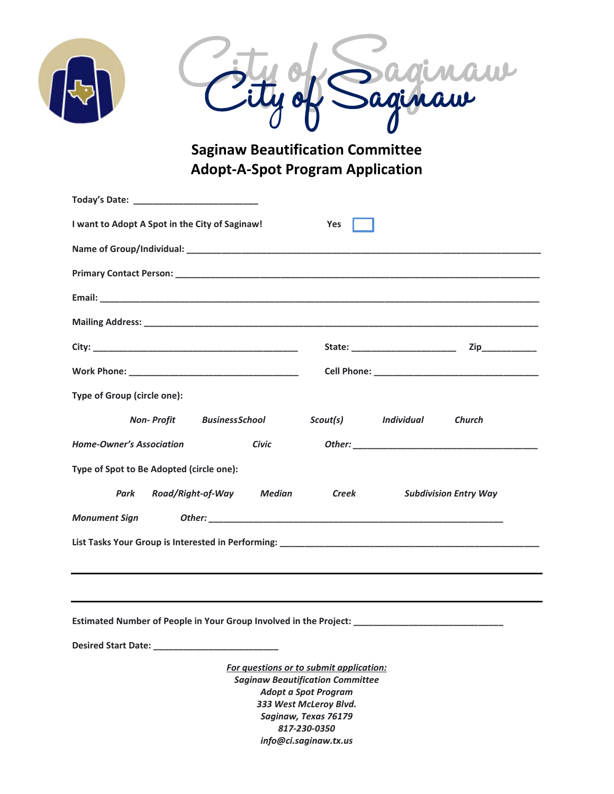



**Saginaw Beautification Committee Adopt-A-Spot Program Application**

| I want to Adopt A Spot in the City of Saginaw!                                                      | Yes                                                                                                                                                                                 |                              |               |  |
|-----------------------------------------------------------------------------------------------------|-------------------------------------------------------------------------------------------------------------------------------------------------------------------------------------|------------------------------|---------------|--|
|                                                                                                     |                                                                                                                                                                                     |                              |               |  |
|                                                                                                     |                                                                                                                                                                                     |                              |               |  |
|                                                                                                     |                                                                                                                                                                                     |                              |               |  |
|                                                                                                     |                                                                                                                                                                                     |                              |               |  |
|                                                                                                     |                                                                                                                                                                                     |                              |               |  |
|                                                                                                     |                                                                                                                                                                                     |                              |               |  |
| Type of Group (circle one):                                                                         |                                                                                                                                                                                     |                              |               |  |
| <b>Non-Profit BusinessSchool</b>                                                                    | Scout(s) Individual                                                                                                                                                                 |                              | <b>Church</b> |  |
| <b>Home-Owner's Association</b><br>Civic                                                            |                                                                                                                                                                                     |                              |               |  |
| Type of Spot to Be Adopted (circle one):                                                            |                                                                                                                                                                                     |                              |               |  |
| Road/Right-of-Way<br>Park<br>Median                                                                 | <b>Creek</b>                                                                                                                                                                        | <b>Subdivision Entry Way</b> |               |  |
| <b>Monument Sign</b>                                                                                |                                                                                                                                                                                     |                              |               |  |
|                                                                                                     |                                                                                                                                                                                     |                              |               |  |
|                                                                                                     |                                                                                                                                                                                     |                              |               |  |
|                                                                                                     |                                                                                                                                                                                     |                              |               |  |
| Estimated Number of People in Your Group Involved in the Project: _________________________________ |                                                                                                                                                                                     |                              |               |  |
| Desired Start Date: _                                                                               |                                                                                                                                                                                     |                              |               |  |
|                                                                                                     | For questions or to submit application:<br><b>Saginaw Beautification Committee</b><br><b>Adopt a Spot Program</b><br>333 West McLeroy Blvd.<br>Saginaw, Texas 76179<br>817-230-0350 |                              |               |  |
| info@ci.saginaw.tx.us                                                                               |                                                                                                                                                                                     |                              |               |  |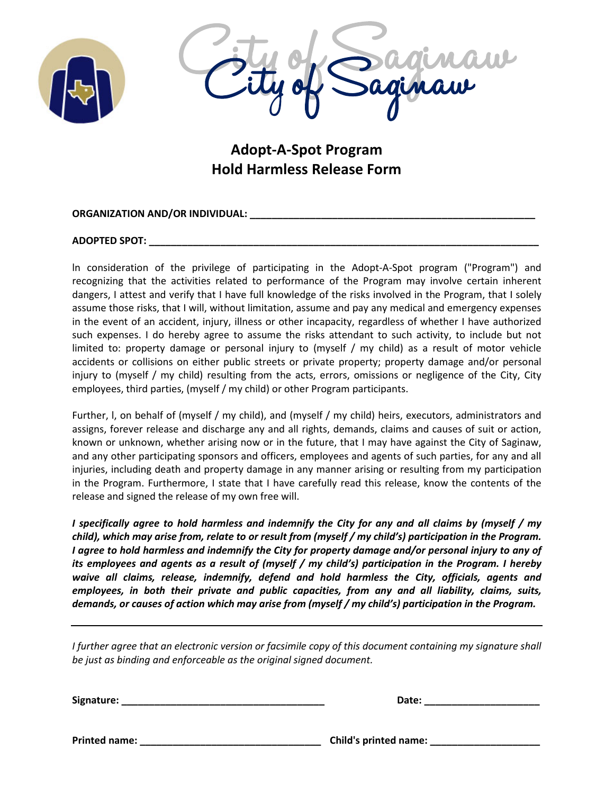



**Adopt-A-Spot Program Hold Harmless Release Form**

#### **ORGANIZATION AND/OR INDIVIDUAL: \_\_\_\_\_\_\_\_\_\_\_\_\_\_\_\_\_\_\_\_\_\_\_\_\_\_\_\_\_\_\_\_\_\_\_\_\_\_\_\_\_\_\_\_\_\_\_\_\_\_\_\_**

#### **ADOPTED SPOT: \_\_\_\_\_\_\_\_\_\_\_\_\_\_\_\_\_\_\_\_\_\_\_\_\_\_\_\_\_\_\_\_\_\_\_\_\_\_\_\_\_\_\_\_\_\_\_\_\_\_\_\_\_\_\_\_\_\_\_\_\_\_\_\_\_\_\_\_\_\_\_**

ln consideration of the privilege of participating in the Adopt-A-Spot program ("Program") and recognizing that the activities related to performance of the Program may involve certain inherent dangers, I attest and verify that I have full knowledge of the risks involved in the Program, that I solely assume those risks, that I will, without limitation, assume and pay any medical and emergency expenses in the event of an accident, injury, illness or other incapacity, regardless of whether I have authorized such expenses. I do hereby agree to assume the risks attendant to such activity, to include but not limited to: property damage or personal injury to (myself / my child) as a result of motor vehicle accidents or collisions on either public streets or private property; property damage and/or personal injury to (myself / my child) resulting from the acts, errors, omissions or negligence of the City, City employees, third parties, (myself / my child) or other Program participants.

Further, l, on behalf of (myself / my child), and (myself / my child) heirs, executors, administrators and assigns, forever release and discharge any and all rights, demands, claims and causes of suit or action, known or unknown, whether arising now or in the future, that I may have against the City of Saginaw, and any other participating sponsors and officers, employees and agents of such parties, for any and all injuries, including death and property damage in any manner arising or resulting from my participation in the Program. Furthermore, I state that I have carefully read this release, know the contents of the release and signed the release of my own free will.

*I specifically agree to hold harmless and indemnify the City for any and all claims by (myself / my child), which may arise from, relate to or result from (myself / my child's) participation in the Program. I agree to hold harmless and indemnify the City for property damage and/or personal injury to any of its employees and agents as a result of (myself / my child's) participation in the Program. I hereby waive all claims, release, indemnify, defend and hold harmless the City, officials, agents and employees, in both their private and public capacities, from any and all liability, claims, suits, demands, or causes of action which may arise from (myself / my child's) participation in the Program.*

*I further agree that an electronic version or facsimile copy of this document containing my signature shall be just as binding and enforceable as the original signed document.*

**Signature: \_\_\_\_\_\_\_\_\_\_\_\_\_\_\_\_\_\_\_\_\_\_\_\_\_\_\_\_\_\_\_\_\_\_\_\_\_ Date: \_\_\_\_\_\_\_\_\_\_\_\_\_\_\_\_\_\_\_\_\_**

**Printed name: \_\_\_\_\_\_\_\_\_\_\_\_\_\_\_\_\_\_\_\_\_\_\_\_\_\_\_\_\_\_\_\_\_ Child's printed name: \_\_\_\_\_\_\_\_\_\_\_\_\_\_\_\_\_\_\_\_**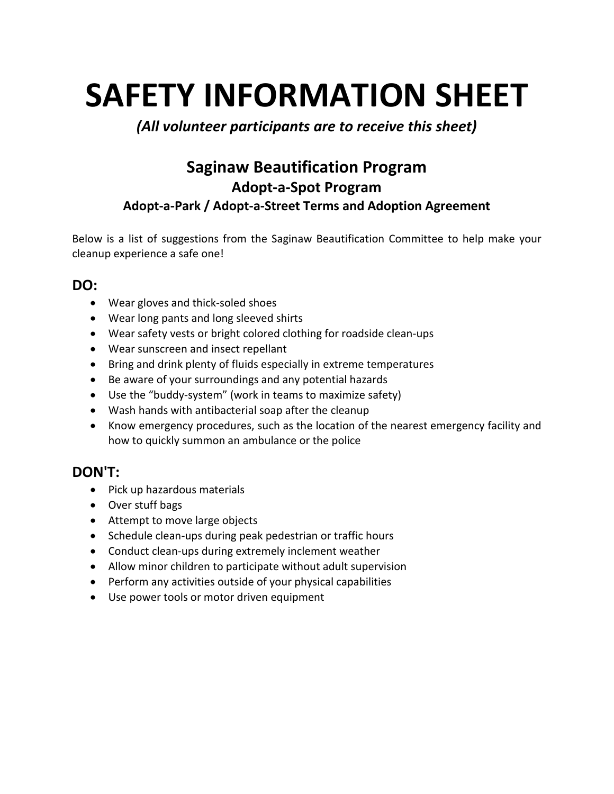# **SAFETY INFORMATION SHEET**

## *(All volunteer participants are to receive this sheet)*

## **Saginaw Beautification Program Adopt-a-Spot Program Adopt-a-Park / Adopt-a-Street Terms and Adoption Agreement**

Below is a list of suggestions from the Saginaw Beautification Committee to help make your cleanup experience a safe one!

### **DO:**

- Wear gloves and thick-soled shoes
- Wear long pants and long sleeved shirts
- Wear safety vests or bright colored clothing for roadside clean-ups
- Wear sunscreen and insect repellant
- Bring and drink plenty of fluids especially in extreme temperatures
- Be aware of your surroundings and any potential hazards
- Use the "buddy-system" (work in teams to maximize safety)
- Wash hands with antibacterial soap after the cleanup
- Know emergency procedures, such as the location of the nearest emergency facility and how to quickly summon an ambulance or the police

## **DON'T:**

- Pick up hazardous materials
- Over stuff bags
- Attempt to move large objects
- Schedule clean-ups during peak pedestrian or traffic hours
- Conduct clean-ups during extremely inclement weather
- Allow minor children to participate without adult supervision
- Perform any activities outside of your physical capabilities
- Use power tools or motor driven equipment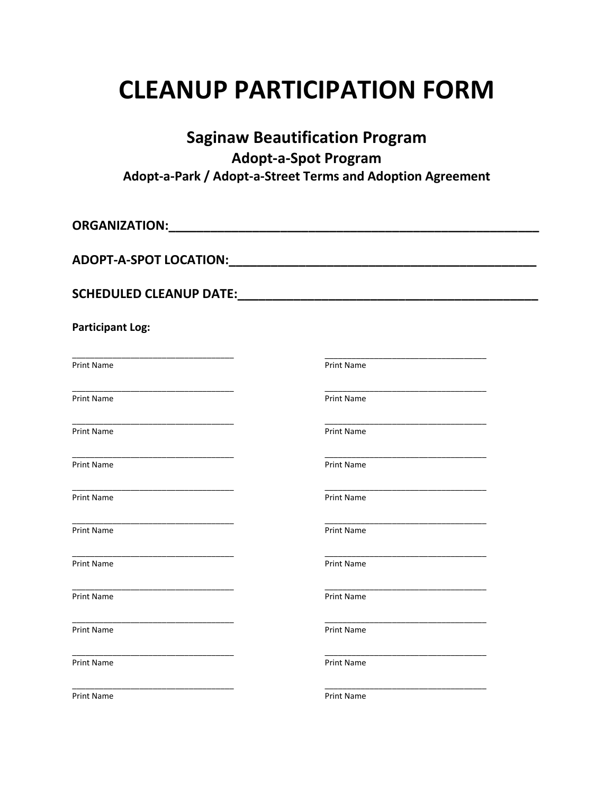## **CLEANUP PARTICIPATION FORM**

| <b>Saginaw Beautification Program</b><br><b>Adopt-a-Spot Program</b><br>Adopt-a-Park / Adopt-a-Street Terms and Adoption Agreement |                   |  |
|------------------------------------------------------------------------------------------------------------------------------------|-------------------|--|
|                                                                                                                                    |                   |  |
|                                                                                                                                    |                   |  |
|                                                                                                                                    |                   |  |
| <b>Participant Log:</b>                                                                                                            |                   |  |
| Print Name                                                                                                                         | Print Name        |  |
| Print Name                                                                                                                         | Print Name        |  |
| <b>Print Name</b>                                                                                                                  | <b>Print Name</b> |  |
| <b>Print Name</b>                                                                                                                  | Print Name        |  |
| Print Name                                                                                                                         | Print Name        |  |
| Print Name                                                                                                                         | Print Name        |  |
| <b>Print Name</b>                                                                                                                  | Print Name        |  |
| <b>Print Name</b>                                                                                                                  | <b>Print Name</b> |  |
| <b>Print Name</b>                                                                                                                  | <b>Print Name</b> |  |
| <b>Print Name</b>                                                                                                                  | <b>Print Name</b> |  |
| <b>Print Name</b>                                                                                                                  | Print Name        |  |